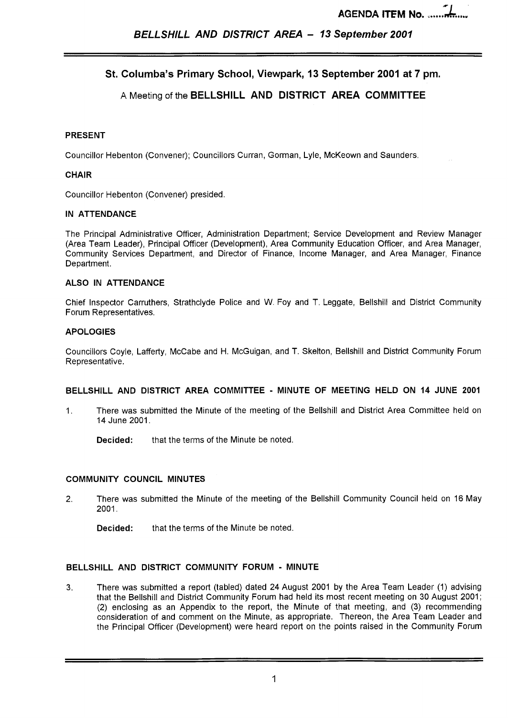# **St. Columba's Primary School, Viewpark, 13 September 2001 at 7 pm.**

# A Meeting of the **BELLSHILL AND DISTRICT AREA COMMITTEE**

#### **PRESENT**

Councillor Hebenton (Convener); Councillors Curran, Gorman, Lyle, McKeown and Saunders.

#### **CHAIR**

Councillor Hebenton (Convener) presided.

#### **IN ATTENDANCE**

The Principal Administrative Officer, Administration Department; Service Development and Review Manager (Area Team Leader), Principal Officer (Development), Area Community Education Officer, and Area Manager, Community Services Department, and Director of Finance, Income Manager, and Area Manager, Finance Department.

#### **ALSO IN ATTENDANCE**

Chief Inspector Carruthers, Strathclyde Police and W. Foy and T. Leggate, Bellshill and District Community Forum Representatives.

#### **APOLOGIES**

Councillors Coyle, Lafferty, McCabe and H. McGuigan, and T. Skelton, Bellshill and District Community Forum Representative.

#### **BELLSHILL AND DISTRICT AREA COMMITTEE** - **MINUTE OF MEETING HELD ON 14 JUNE 2001**

1. There was submitted the Minute of the meeting of the Bellshill and District Area Committee held on 14 June 2001.

**Decided:** that the terms of the Minute be noted.

#### **COMMUNITY COUNCIL MINUTES**

2. There was submitted the Minute of the meeting of the Bellshill Community Council held on 16 May 2001.

**Decided:** that the terms of the Minute be noted.

#### **BELLSHILL AND DISTRICT COMMUNITY FORUM** - **MINUTE**

**3.** There was submitted a report (tabled) dated 24 August 2001 by the Area Team Leader (1) advising that the Bellshill and District Community Forum had held its most recent meeting on 30 August 2001 ; (2) enclosing as an Appendix to the report, the Minute of that meeting, and (3) recommending consideration of and comment on the Minute, as appropriate. Thereon, the Area Team Leader and the Principal Officer (Development) were heard report on the points raised in the Community Forum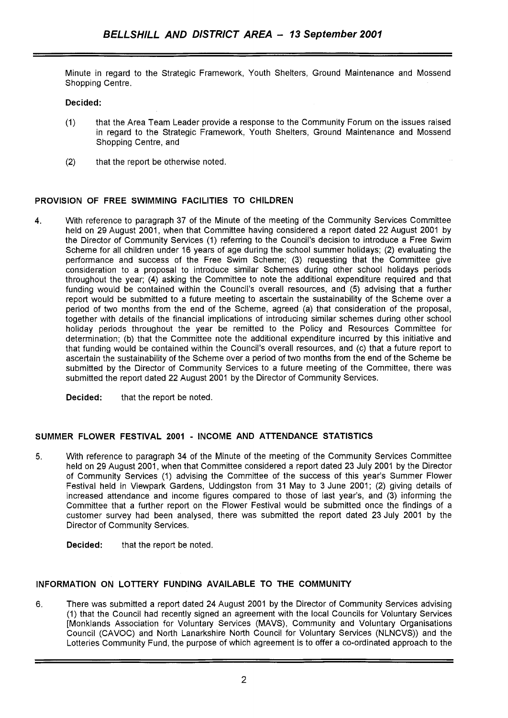Minute in regard to the Strategic Framework, Youth Shelters, Ground Maintenance and Mossend Shopping Centre.

#### **Decided:**

- (1) that the Area Team Leader provide a response to the Community Forum on the issues raised in regard to the Strategic Framework, Youth Shelters, Ground Maintenance and Mossend Shopping Centre, and
- (2) that the report be otherwise noted.

#### **PROVISION OF FREE SWIMMING FACILITIES TO CHILDREN**

4. With reference to paragraph 37 of the Minute of the meeting of the Community Services Committee held on 29 August 2001, when that Committee having considered a report dated 22 August 2001 by the Director of Community Services (1) referring to the Council's decision to introduce a Free Swim Scheme for all children under 16 years of age during the school summer holidays; (2) evaluating the performance and success of the Free Swim Scheme; (3) requesting that the Committee give consideration to a proposal to introduce similar Schemes during other school holidays periods throughout the year; (4) asking the Committee to note the additional expenditure required and that funding would be contained within the Council's overall resources, and **(5)** advising that a further report would be submitted to a future meeting to ascertain the sustainability of the Scheme over a period of two months from the end of the Scheme, agreed (a) that consideration of the proposal, together with details of the financial implications of introducing similar schemes during other school holiday periods throughout the year be remitted to the Policy and Resources Committee for determination; (b) that the Committee note the additional expenditure incurred by this initiative and that funding would be contained within the Council's overall resources, and (c) that a future report to ascertain the sustainability of the Scheme over a period of two months from the end of the Scheme be submitted by the Director of Community Services to a future meeting of the Committee, there was submitted the report dated 22 August 2001 by the Director of Community Services.

**Decided:** that the report be noted.

#### **SUMMER FLOWER FESTIVAL 2001** - **INCOME AND ATTENDANCE STATISTICS**

**5.** With reference to paragraph 34 of the Minute of the meeting of the Community Services Committee held on 29 August 2001, when that Committee considered a report dated 23 July 2001 by the Director of Community Services (1) advising the Committee of the success of this year's Summer Flower Festival held in Viewpark Gardens, Uddingston from 31 May to 3 June 2001; (2) giving details of increased attendance and income figures compared to those of last year's, and (3) informing the Committee that a further report on the Flower Festival would be submitted once the findings of a customer survey had been analysed, there was submitted the report dated 23 July 2001 by the Director of Community Services.

**Decided:** that the report be noted.

#### **INFORMATION ON LOTTERY FUNDING AVAILABLE TO THE COMMUNITY**

6. There was submitted a report dated 24 August 2001 by the Director of Community Services advising (1) that the Council had recently signed an agreement with the local Councils for Voluntary Services [Monklands Association for Voluntary Services (MAVS), Community and Voluntary Organisations Council (CAVOC) and North Lanarkshire North Council for Voluntary Services (NLNCVS)) and the Lotteries Community Fund, the purpose of which agreement is to offer a co-ordinated approach to the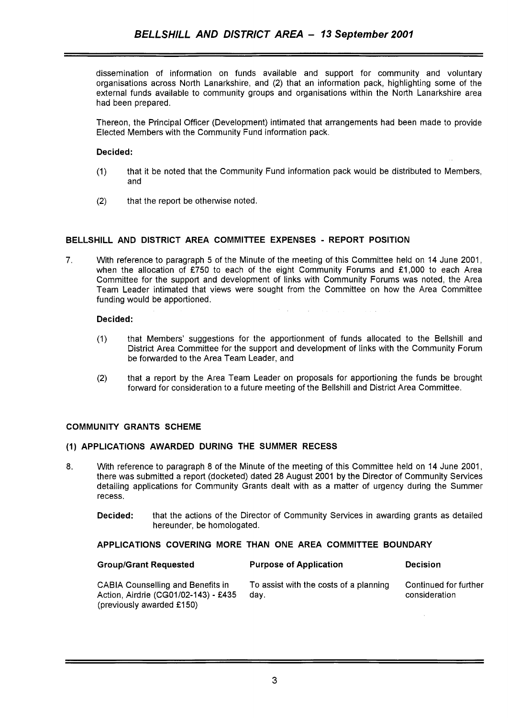dissemination of information on funds available and support for community and voluntary organisations across North Lanarkshire, and (2) that an information pack, highlighting some of the external funds available to community groups and organisations within the North Lanarkshire area had been prepared.

Thereon, the Principal Officer (Development) intimated that arrangements had been made to provide Elected Members with the Community Fund information pack.

#### Decided:

- (1) that it be noted that the Community Fund information pack would be distributed to Members, and
- (2) that the report be otherwise noted.

#### BELLSHILL AND DISTRICT AREA COMMITTEE EXPENSES - REPORT POSITION

7. With reference to paragraph 5 of the Minute of the meeting of this Committee held on 14 June 2001, when the allocation of £750 to each of the eight Community Forums and £1,000 to each Area Committee for the support and development of links with Community Forums was noted, the Area Team Leader intimated that views were sought from the Committee on how the Area Committee funding would be apportioned.

#### Decided:

(1) that Members' suggestions for the apportionment of funds allocated to the Bellshill and District Area Committee for the support and development of links with the Community Forum be forwarded to the Area Team Leader, and

 $\hat{U}$  , where  $\hat{U}$  is a subset of the set of the set of the set of  $\hat{U}$ 

(2) that a report by the Area Team Leader on proposals for apportioning the funds be brought forward for consideration to a future meeting of the Bellshill and District Area Committee.

#### COMMUNITY GRANTS SCHEME

#### **(1)** APPLICATIONS AWARDED DURING THE SUMMER RECESS

- 8. With reference to paragraph 8 of the Minute of the meeting of this Committee held on 14 June 2001, there was submitted a report (docketed) dated 28 August 2001 by the Director of Community Services detailing applications for Community Grants dealt with as a matter of urgency during the Summer recess.
	- **Decided:** that the actions of the Director of Community Services in awarding grants as detailed hereunder, be homologated.

#### APPLICATIONS COVERING MORE THAN ONE AREA COMMITTEE BOUNDARY

| <b>Group/Grant Requested</b>                                                                                  | <b>Purpose of Application</b>                  | <b>Decision</b>                        |
|---------------------------------------------------------------------------------------------------------------|------------------------------------------------|----------------------------------------|
| <b>CABIA Counselling and Benefits in</b><br>Action, Airdrie (CG01/02-143) - £435<br>(previously awarded £150) | To assist with the costs of a planning<br>dav. | Continued for further<br>consideration |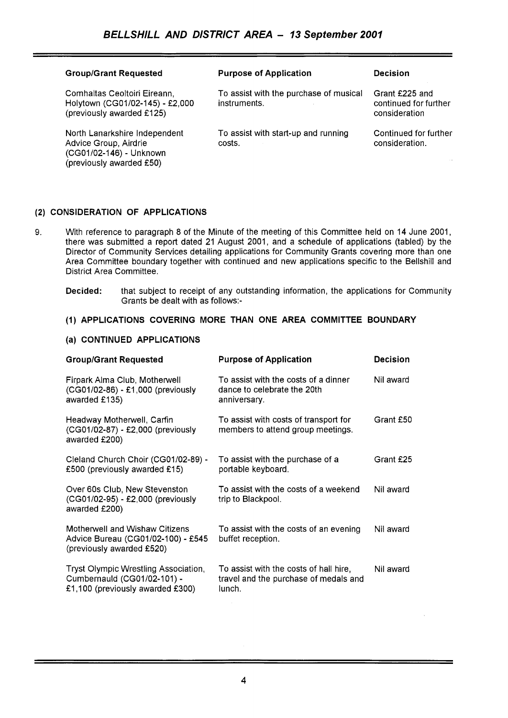| <b>Group/Grant Requested</b>                                                                                  | <b>Purpose of Application</b>                          | Decision                                                 |
|---------------------------------------------------------------------------------------------------------------|--------------------------------------------------------|----------------------------------------------------------|
| Comhaltas Ceoltoiri Eireann,<br>Holytown (CG01/02-145) - £2,000<br>(previously awarded £125)                  | To assist with the purchase of musical<br>instruments. | Grant £225 and<br>continued for further<br>consideration |
| North Lanarkshire Independent<br>Advice Group, Airdrie<br>(CG01/02-146) - Unknown<br>(previously awarded £50) | To assist with start-up and running<br>costs.          | Continued for further<br>consideration.                  |

## **(2) CONSIDERATION OF APPLICATIONS**

9. With reference to paragraph 8 of the Minute of the meeting of this Committee held on 14 June 2001, there was submitted a report dated 21 August 2001, and a schedule of applications (tabled) by the Director of Community Services detailing applications for Community Grants covering more than one Area Committee boundary together with continued and new applications specific to the Bellshill and District Area Committee.

#### **Decided:** that subject to receipt of any outstanding information, the applications for Community Grants be dealt with as follows:-

## **(1) APPLICATIONS COVERING MORE THAN ONE AREA COMMITTEE BOUNDARY**

#### **(a) CONTINUED APPLICATIONS**

| <b>Group/Grant Requested</b>                                                                            | <b>Purpose of Application</b>                                                             | <b>Decision</b> |
|---------------------------------------------------------------------------------------------------------|-------------------------------------------------------------------------------------------|-----------------|
| Firpark Alma Club, Motherwell<br>(CG01/02-86) - £1,000 (previously<br>awarded £135)                     | To assist with the costs of a dinner<br>dance to celebrate the 20th<br>anniversary.       | Nil award       |
| Headway Motherwell, Carfin<br>(CG01/02-87) - £2,000 (previously<br>awarded £200)                        | To assist with costs of transport for<br>members to attend group meetings.                | Grant £50       |
| Cleland Church Choir (CG01/02-89) -<br>£500 (previously awarded £15)                                    | To assist with the purchase of a<br>portable keyboard.                                    | Grant £25       |
| Over 60s Club, New Stevenston<br>(CG01/02-95) - £2,000 (previously<br>awarded £200)                     | To assist with the costs of a weekend<br>trip to Blackpool.                               | Nil award       |
| Motherwell and Wishaw Citizens<br>Advice Bureau (CG01/02-100) - £545<br>(previously awarded £520)       | To assist with the costs of an evening<br>buffet reception.                               | Nil award       |
| Tryst Olympic Wrestling Association,<br>Cumbernauld (CG01/02-101) -<br>£1,100 (previously awarded £300) | To assist with the costs of hall hire,<br>travel and the purchase of medals and<br>lunch. | Nil award       |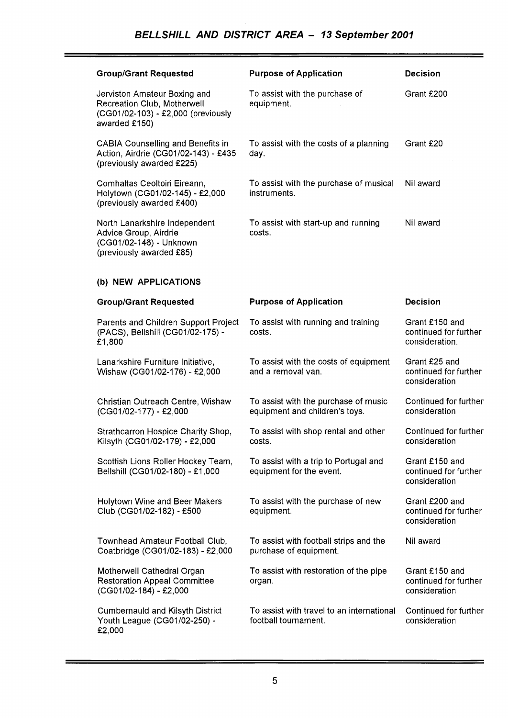# *BELLSHILL AND DISTRICT AREA* - *13 September 2001*

| <b>Group/Grant Requested</b>                                                                                       | <b>Purpose of Application</b>                                          | <b>Decision</b>                                           |
|--------------------------------------------------------------------------------------------------------------------|------------------------------------------------------------------------|-----------------------------------------------------------|
| Jerviston Amateur Boxing and<br>Recreation Club, Motherwell<br>(CG01/02-103) - £2,000 (previously<br>awarded £150) | To assist with the purchase of<br>equipment.                           | Grant £200                                                |
| <b>CABIA Counselling and Benefits in</b><br>Action, Airdrie (CG01/02-143) - £435<br>(previously awarded £225)      | To assist with the costs of a planning<br>day.                         | Grant £20                                                 |
| Comhaltas Ceoltoiri Eireann,<br>Holytown (CG01/02-145) - £2,000<br>(previously awarded £400)                       | To assist with the purchase of musical<br>instruments.                 | Nil award                                                 |
| North Lanarkshire Independent<br>Advice Group, Airdrie<br>(CG01/02-146) - Unknown<br>(previously awarded £85)      | To assist with start-up and running<br>costs.                          | Nil award                                                 |
| (b) NEW APPLICATIONS                                                                                               |                                                                        |                                                           |
| <b>Group/Grant Requested</b>                                                                                       | <b>Purpose of Application</b>                                          | <b>Decision</b>                                           |
| Parents and Children Support Project<br>(PACS), Bellshill (CG01/02-175) -<br>£1,800                                | To assist with running and training<br>costs.                          | Grant £150 and<br>continued for further<br>consideration. |
| Lanarkshire Furniture Initiative,<br>Wishaw (CG01/02-176) - £2,000                                                 | To assist with the costs of equipment<br>and a removal van.            | Grant £25 and<br>continued for further<br>consideration   |
| Christian Outreach Centre, Wishaw<br>(CG01/02-177) - £2,000                                                        | To assist with the purchase of music<br>equipment and children's toys. | Continued for further<br>consideration                    |
| Strathcarron Hospice Charity Shop,<br>Kilsyth (CG01/02-179) - £2,000                                               | To assist with shop rental and other<br>costs.                         | Continued for further<br>consideration                    |
| Scottish Lions Roller Hockey Team,<br>Bellshill (CG01/02-180) - £1,000                                             | To assist with a trip to Portugal and<br>equipment for the event.      | Grant £150 and<br>continued for further<br>consideration  |
| Holytown Wine and Beer Makers<br>Club (CG01/02-182) - £500                                                         | To assist with the purchase of new<br>equipment.                       | Grant £200 and<br>continued for further<br>consideration  |
| Townhead Amateur Football Club,<br>Coatbridge (CG01/02-183) - £2,000                                               | To assist with football strips and the<br>purchase of equipment.       | Nil award                                                 |
| Motherwell Cathedral Organ<br><b>Restoration Appeal Committee</b><br>(CG01/02-184) - £2,000                        | To assist with restoration of the pipe<br>organ.                       | Grant £150 and<br>continued for further<br>consideration  |
| <b>Cumbernauld and Kilsyth District</b><br>Youth League (CG01/02-250) -<br>£2,000                                  | To assist with travel to an international<br>football tournament.      | Continued for further<br>consideration                    |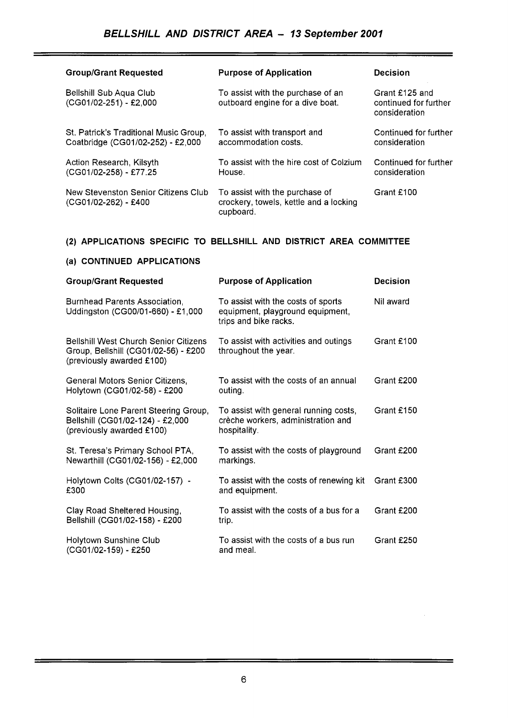| <b>Group/Grant Requested</b>                                                | <b>Purpose of Application</b>                                                         | <b>Decision</b>                                          |
|-----------------------------------------------------------------------------|---------------------------------------------------------------------------------------|----------------------------------------------------------|
| <b>Bellshill Sub Aqua Club</b><br>(CG01/02-251) - £2,000                    | To assist with the purchase of an<br>outboard engine for a dive boat.                 | Grant £125 and<br>continued for further<br>consideration |
| St. Patrick's Traditional Music Group,<br>Coatbridge (CG01/02-252) - £2,000 | To assist with transport and<br>accommodation costs.                                  | Continued for further<br>consideration                   |
| Action Research, Kilsyth<br>(CG01/02-258) - £77.25                          | To assist with the hire cost of Colzium<br>House.                                     | Continued for further<br>consideration                   |
| New Stevenston Senior Citizens Club<br>(CG01/02-262) - £400                 | To assist with the purchase of<br>crockery, towels, kettle and a locking<br>cupboard. | Grant £100                                               |

# **(2) APPLICATIONS SPECIFIC TO BELLSHILL AND DISTRICT AREA COMMITTEE**

| (a) CONTINUED APPLICATIONS                                                                                        |                                                                                                 |                 |  |
|-------------------------------------------------------------------------------------------------------------------|-------------------------------------------------------------------------------------------------|-----------------|--|
| <b>Group/Grant Requested</b>                                                                                      | <b>Purpose of Application</b>                                                                   | <b>Decision</b> |  |
| Burnhead Parents Association,<br>Uddingston (CG00/01-660) - £1,000                                                | To assist with the costs of sports<br>equipment, playground equipment,<br>trips and bike racks. | Nil award       |  |
| <b>Bellshill West Church Senior Citizens</b><br>Group, Bellshill (CG01/02-56) - £200<br>(previously awarded £100) | To assist with activities and outings<br>throughout the year.                                   | Grant £100      |  |
| General Motors Senior Citizens,<br>Holytown (CG01/02-58) - £200                                                   | To assist with the costs of an annual<br>outing.                                                | Grant £200      |  |
| Solitaire Lone Parent Steering Group,<br>Bellshill (CG01/02-124) - £2,000<br>(previously awarded £100)            | To assist with general running costs,<br>crèche workers, administration and<br>hospitality.     | Grant £150      |  |
| St. Teresa's Primary School PTA,<br>Newarthill (CG01/02-156) - £2,000                                             | To assist with the costs of playground<br>markings.                                             | Grant £200      |  |
| Holytown Colts (CG01/02-157) -<br>£300                                                                            | To assist with the costs of renewing kit<br>and equipment.                                      | Grant £300      |  |
| Clay Road Sheltered Housing,<br>Bellshill (CG01/02-158) - £200                                                    | To assist with the costs of a bus for a<br>trip.                                                | Grant £200      |  |
| Holytown Sunshine Club<br>(CG01/02-159) - £250                                                                    | To assist with the costs of a bus run<br>and meal.                                              | Grant £250      |  |